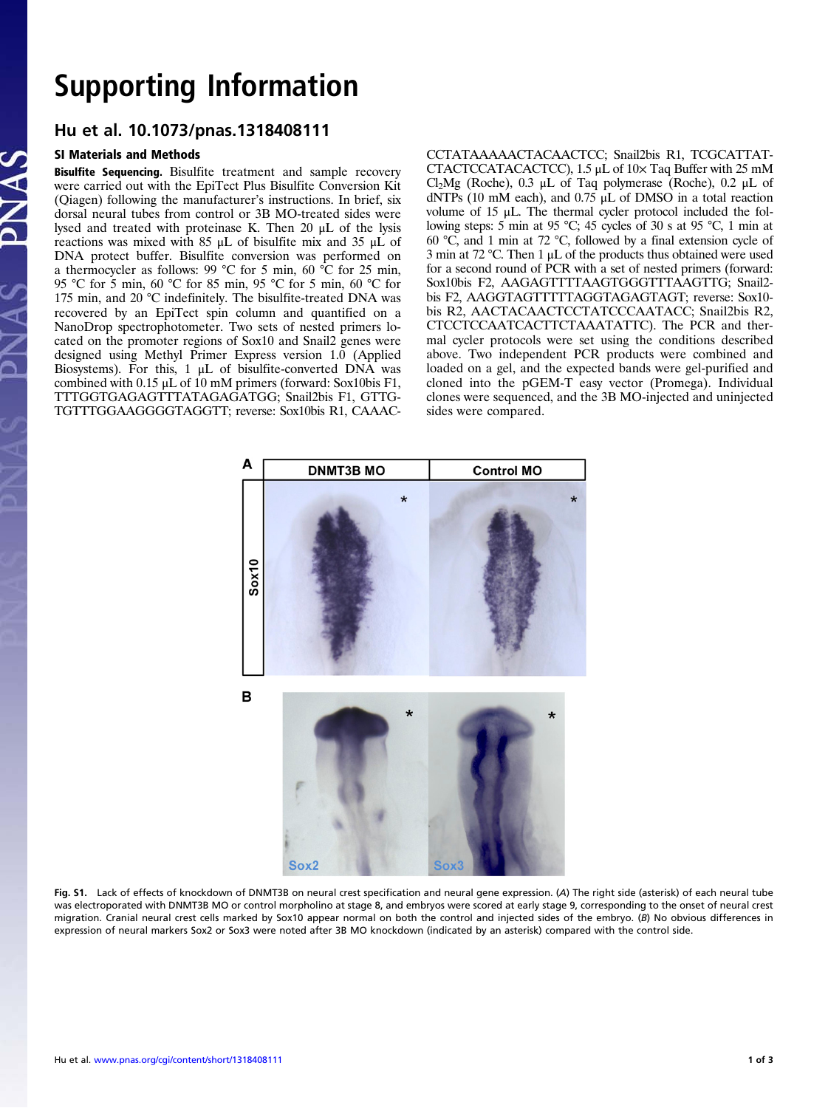## Supporting Information<br>Hu et al. 10.1073/pnas.1318408111

## Hu et al. 10.1073/pnas.1318408111 SI Materials and Methods

Bisulfite Sequencing. Bisulfite treatment and sample recovery were carried out with the EpiTect Plus Bisulfite Conversion Kit (Qiagen) following the manufacturer's instructions. In brief, six dorsal neural tubes from control or 3B MO-treated sides were lysed and treated with proteinase K. Then 20 μL of the lysis reactions was mixed with 85 μL of bisulfite mix and 35 μL of DNA protect buffer. Bisulfite conversion was performed on a thermocycler as follows: 99 °C for 5 min, 60 °C for 25 min, 95 °C for 5 min, 60 °C for 85 min, 95 °C for 5 min, 60 °C for 175 min, and 20 °C indefinitely. The bisulfite-treated DNA was recovered by an EpiTect spin column and quantified on a NanoDrop spectrophotometer. Two sets of nested primers located on the promoter regions of Sox10 and Snail2 genes were designed using Methyl Primer Express version 1.0 (Applied Biosystems). For this, 1 μL of bisulfite-converted DNA was combined with 0.15 μL of 10 mM primers (forward: Sox10bis F1, TTTGGTGAGAGTTTATAGAGATGG; Snail2bis F1, GTTG-TGTTTGGAAGGGGTAGGTT; reverse: Sox10bis R1, CAAAC- CCTATAAAAACTACAACTCC; Snail2bis R1, TCGCATTAT-CTACTCCATACACTCC), 1.5 μL of 10× Taq Buffer with 25 mM Cl<sub>2</sub>Mg (Roche), 0.3 μL of Taq polymerase (Roche), 0.2 μL of dNTPs (10 mM each), and 0.75 μL of DMSO in a total reaction volume of 15 μL. The thermal cycler protocol included the following steps: 5 min at 95 °C; 45 cycles of 30 s at 95 °C, 1 min at 60 °C, and 1 min at 72 °C, followed by a final extension cycle of 3 min at 72 °C. Then 1 μL of the products thus obtained were used for a second round of PCR with a set of nested primers (forward: Sox10bis F2, AAGAGTTTTAAGTGGGTTTAAGTTG; Snail2 bis F2, AAGGTAGTTTTTAGGTAGAGTAGT; reverse: Sox10 bis R2, AACTACAACTCCTATCCCAATACC; Snail2bis R2, CTCCTCCAATCACTTCTAAATATTC). The PCR and thermal cycler protocols were set using the conditions described above. Two independent PCR products were combined and loaded on a gel, and the expected bands were gel-purified and cloned into the pGEM-T easy vector (Promega). Individual clones were sequenced, and the 3B MO-injected and uninjected sides were compared.



Fig. S1. Lack of effects of knockdown of DNMT3B on neural crest specification and neural gene expression. (A) The right side (asterisk) of each neural tube was electroporated with DNMT3B MO or control morpholino at stage 8, and embryos were scored at early stage 9, corresponding to the onset of neural crest migration. Cranial neural crest cells marked by Sox10 appear normal on both the control and injected sides of the embryo. (B) No obvious differences in expression of neural markers Sox2 or Sox3 were noted after 3B MO knockdown (indicated by an asterisk) compared with the control side.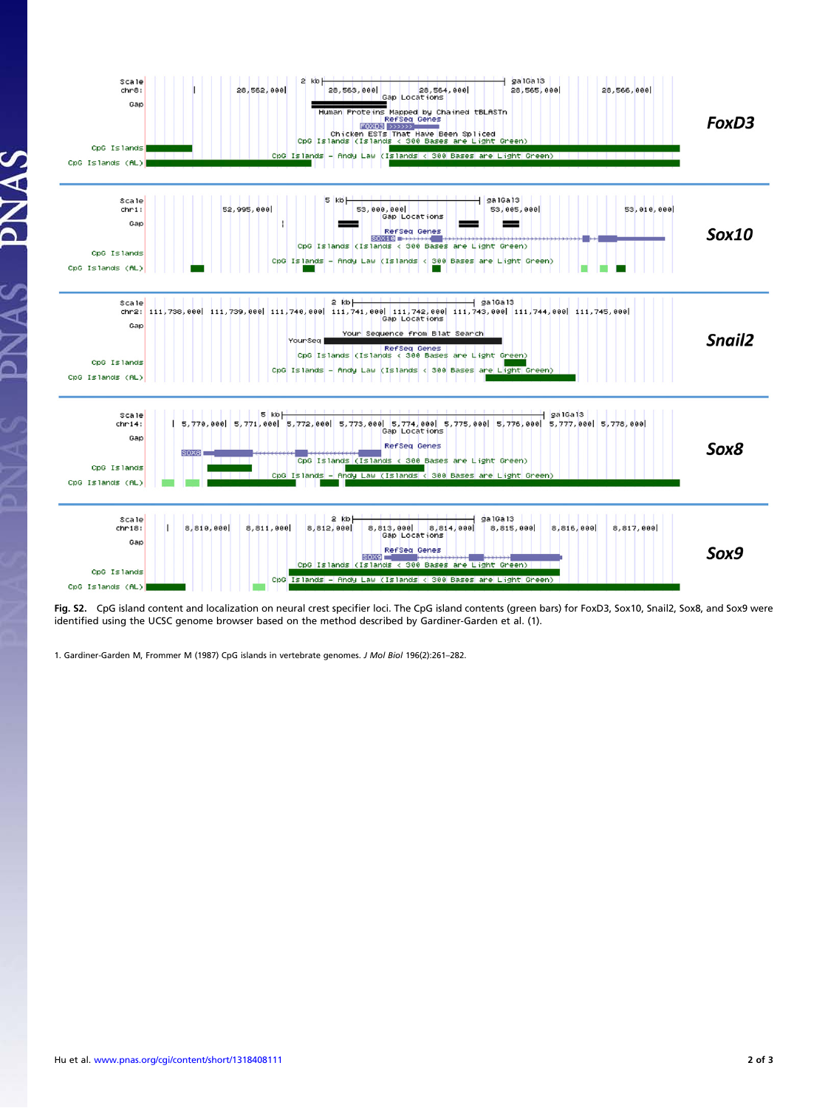

Fig. S2. CpG island content and localization on neural crest specifier loci. The CpG island contents (green bars) for FoxD3, Sox10, Snail2, Sox8, and Sox9 were identified using the UCSC genome browser based on the method described by Gardiner-Garden et al. (1).

1. Gardiner-Garden M, Frommer M (1987) CpG islands in vertebrate genomes. J Mol Biol 196(2):261–282.

 $\Delta$